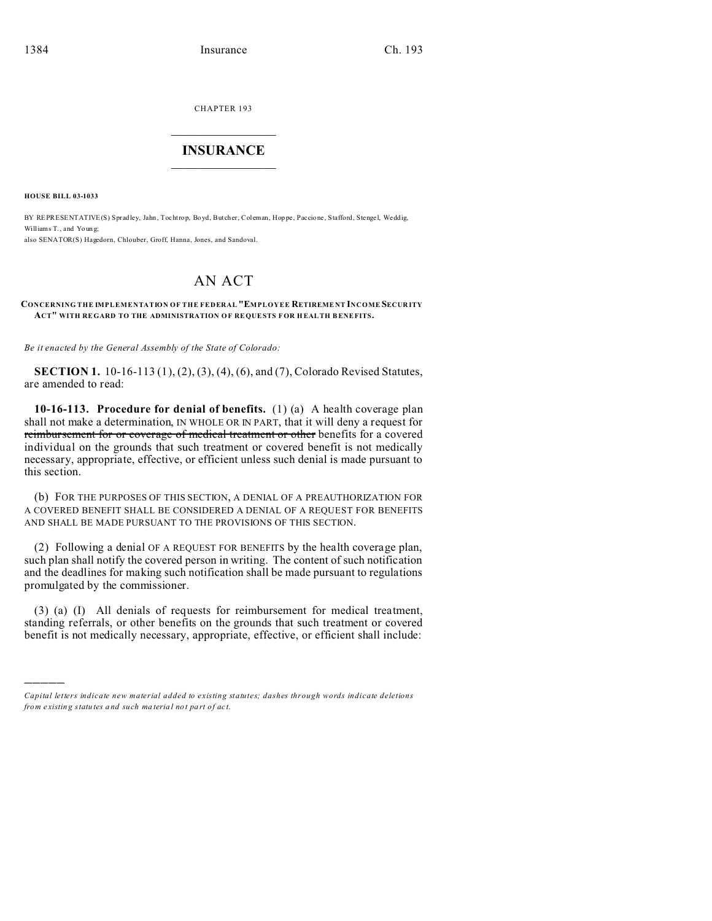CHAPTER 193  $\overline{\phantom{a}}$  , where  $\overline{\phantom{a}}$ 

## **INSURANCE**  $\_$   $\_$   $\_$   $\_$   $\_$   $\_$   $\_$   $\_$

**HOUSE BILL 03-1033**

)))))

BY REPRESENTATIVE(S) Spradley, Jahn, Tochtrop, Boyd, Butcher, Coleman, Hoppe, Paccione, Stafford, Stengel, Weddig, Williams T., and Youn g; also SENATOR(S) Hagedorn, Chlouber, Groff, Hanna, Jones, and Sandoval.

## AN ACT

## **CONCERNING THE IMPLEMENTATION OF THE FEDERAL "EMPLOYEE RETIREME NT INCOME SECUR ITY ACT" WITH RE GARD TO THE ADMINISTRATION OF RE QUESTS FOR H EALTH B ENEFITS.**

*Be it enacted by the General Assembly of the State of Colorado:*

**SECTION 1.** 10-16-113 (1), (2), (3), (4), (6), and (7), Colorado Revised Statutes, are amended to read:

**10-16-113. Procedure for denial of benefits.** (1) (a) A health coverage plan shall not make a determination, IN WHOLE OR IN PART, that it will deny a request for reimbursement for or coverage of medical treatment or other benefits for a covered individual on the grounds that such treatment or covered benefit is not medically necessary, appropriate, effective, or efficient unless such denial is made pursuant to this section.

(b) FOR THE PURPOSES OF THIS SECTION, A DENIAL OF A PREAUTHORIZATION FOR A COVERED BENEFIT SHALL BE CONSIDERED A DENIAL OF A REQUEST FOR BENEFITS AND SHALL BE MADE PURSUANT TO THE PROVISIONS OF THIS SECTION.

(2) Following a denial OF A REQUEST FOR BENEFITS by the health coverage plan, such plan shall notify the covered person in writing. The content of such notification and the deadlines for making such notification shall be made pursuant to regulations promulgated by the commissioner.

(3) (a) (I) All denials of requests for reimbursement for medical treatment, standing referrals, or other benefits on the grounds that such treatment or covered benefit is not medically necessary, appropriate, effective, or efficient shall include:

*Capital letters indicate new material added to existing statutes; dashes through words indicate deletions from e xistin g statu tes a nd such ma teria l no t pa rt of ac t.*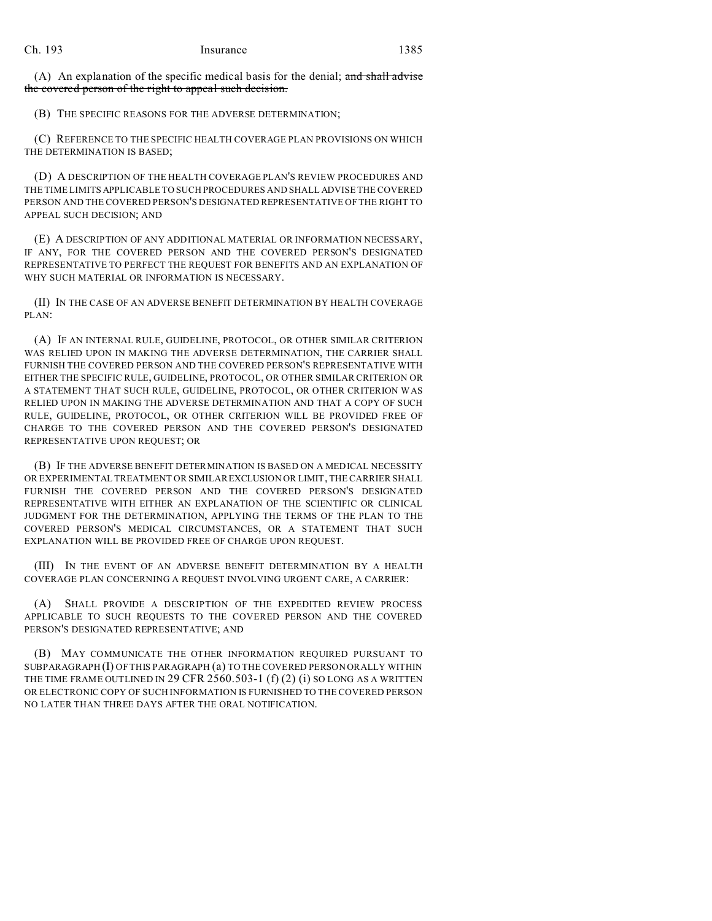(A) An explanation of the specific medical basis for the denial; and shall advise the covered person of the right to appeal such decision.

(B) THE SPECIFIC REASONS FOR THE ADVERSE DETERMINATION;

(C) REFERENCE TO THE SPECIFIC HEALTH COVERAGE PLAN PROVISIONS ON WHICH THE DETERMINATION IS BASED;

(D) A DESCRIPTION OF THE HEALTH COVERAGE PLAN'S REVIEW PROCEDURES AND THE TIME LIMITS APPLICABLE TO SUCH PROCEDURES AND SHALL ADVISE THE COVERED PERSON AND THE COVERED PERSON'S DESIGNATED REPRESENTATIVE OF THE RIGHT TO APPEAL SUCH DECISION; AND

(E) A DESCRIPTION OF ANY ADDITIONAL MATERIAL OR INFORMATION NECESSARY, IF ANY, FOR THE COVERED PERSON AND THE COVERED PERSON'S DESIGNATED REPRESENTATIVE TO PERFECT THE REQUEST FOR BENEFITS AND AN EXPLANATION OF WHY SUCH MATERIAL OR INFORMATION IS NECESSARY.

(II) IN THE CASE OF AN ADVERSE BENEFIT DETERMINATION BY HEALTH COVERAGE PLAN:

(A) IF AN INTERNAL RULE, GUIDELINE, PROTOCOL, OR OTHER SIMILAR CRITERION WAS RELIED UPON IN MAKING THE ADVERSE DETERMINATION, THE CARRIER SHALL FURNISH THE COVERED PERSON AND THE COVERED PERSON'S REPRESENTATIVE WITH EITHER THE SPECIFIC RULE, GUIDELINE, PROTOCOL, OR OTHER SIMILAR CRITERION OR A STATEMENT THAT SUCH RULE, GUIDELINE, PROTOCOL, OR OTHER CRITERION WAS RELIED UPON IN MAKING THE ADVERSE DETERMINATION AND THAT A COPY OF SUCH RULE, GUIDELINE, PROTOCOL, OR OTHER CRITERION WILL BE PROVIDED FREE OF CHARGE TO THE COVERED PERSON AND THE COVERED PERSON'S DESIGNATED REPRESENTATIVE UPON REQUEST; OR

(B) IF THE ADVERSE BENEFIT DETERMINATION IS BASED ON A MEDICAL NECESSITY OR EXPERIMENTAL TREATMENT OR SIMILAREXCLUSION OR LIMIT, THE CARRIER SHALL FURNISH THE COVERED PERSON AND THE COVERED PERSON'S DESIGNATED REPRESENTATIVE WITH EITHER AN EXPLANATION OF THE SCIENTIFIC OR CLINICAL JUDGMENT FOR THE DETERMINATION, APPLYING THE TERMS OF THE PLAN TO THE COVERED PERSON'S MEDICAL CIRCUMSTANCES, OR A STATEMENT THAT SUCH EXPLANATION WILL BE PROVIDED FREE OF CHARGE UPON REQUEST.

(III) IN THE EVENT OF AN ADVERSE BENEFIT DETERMINATION BY A HEALTH COVERAGE PLAN CONCERNING A REQUEST INVOLVING URGENT CARE, A CARRIER:

(A) SHALL PROVIDE A DESCRIPTION OF THE EXPEDITED REVIEW PROCESS APPLICABLE TO SUCH REQUESTS TO THE COVERED PERSON AND THE COVERED PERSON'S DESIGNATED REPRESENTATIVE; AND

(B) MAY COMMUNICATE THE OTHER INFORMATION REQUIRED PURSUANT TO SUBPARAGRAPH (I) OF THIS PARAGRAPH (a) TO THE COVERED PERSON ORALLY WITHIN THE TIME FRAME OUTLINED IN 29 CFR 2560.503-1  $(f)(2)$  (i) SO LONG AS A WRITTEN OR ELECTRONIC COPY OF SUCH INFORMATION IS FURNISHED TO THE COVERED PERSON NO LATER THAN THREE DAYS AFTER THE ORAL NOTIFICATION.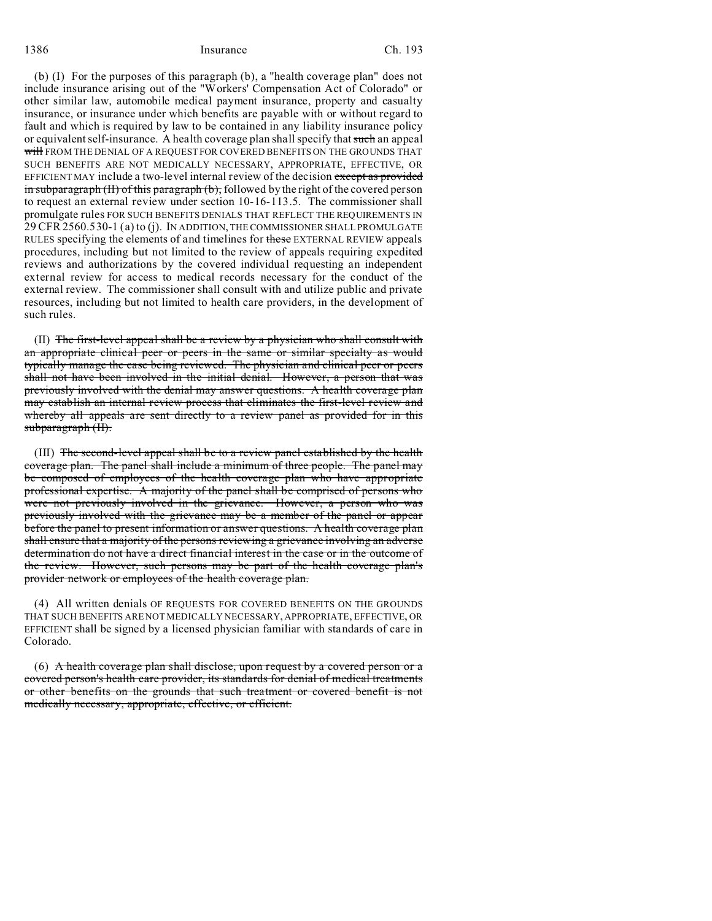1386 Insurance Ch. 193

(b) (I) For the purposes of this paragraph (b), a "health coverage plan" does not include insurance arising out of the "Workers' Compensation Act of Colorado" or other similar law, automobile medical payment insurance, property and casualty insurance, or insurance under which benefits are payable with or without regard to fault and which is required by law to be contained in any liability insurance policy or equivalent self-insurance. A health coverage plan shall specify that such an appeal will FROM THE DENIAL OF A REQUEST FOR COVERED BENEFITS ON THE GROUNDS THAT SUCH BENEFITS ARE NOT MEDICALLY NECESSARY, APPROPRIATE, EFFECTIVE, OR EFFICIENT MAY include a two-level internal review of the decision except as provided in subparagraph  $(H)$  of this paragraph  $(b)$ , followed by the right of the covered person to request an external review under section 10-16-113.5. The commissioner shall promulgate rules FOR SUCH BENEFITS DENIALS THAT REFLECT THE REQUIREMENTS IN 29 CFR2560.530-1 (a) to (j). IN ADDITION, THE COMMISSIONER SHALL PROMULGATE RULES specifying the elements of and timelines for these EXTERNAL REVIEW appeals procedures, including but not limited to the review of appeals requiring expedited reviews and authorizations by the covered individual requesting an independent external review for access to medical records necessary for the conduct of the external review. The commissioner shall consult with and utilize public and private resources, including but not limited to health care providers, in the development of such rules.

(II) The first-level appeal shall be a review by a physician who shall consult with an appropriate clinical peer or peers in the same or similar specialty as would typically manage the case being reviewed. The physician and clinical peer or peers shall not have been involved in the initial denial. However, a person that was previously involved with the denial may answer questions. A health coverage plan may establish an internal review process that eliminates the first-level review and whereby all appeals are sent directly to a review panel as provided for in this subparagraph (II).

(III) The second-level appeal shall be to a review panel established by the health coverage plan. The panel shall include a minimum of three people. The panel may be composed of employees of the health coverage plan who have appropriate professional expertise. A majority of the panel shall be comprised of persons who were not previously involved in the grievance. However, a person who was previously involved with the grievance may be a member of the panel or appear before the panel to present information or answer questions. A health coverage plan shall ensure that a majority of the persons reviewing a grievance involving an adverse determination do not have a direct financial interest in the case or in the outcome of the review. However, such persons may be part of the health coverage plan's provider network or employees of the health coverage plan.

(4) All written denials OF REQUESTS FOR COVERED BENEFITS ON THE GROUNDS THAT SUCH BENEFITS ARE NOT MEDICALLY NECESSARY, APPROPRIATE, EFFECTIVE, OR EFFICIENT shall be signed by a licensed physician familiar with standards of care in Colorado.

(6) A health coverage plan shall disclose, upon request by a covered person or a covered person's health care provider, its standards for denial of medical treatments or other benefits on the grounds that such treatment or covered benefit is not medically necessary, appropriate, effective, or efficient.